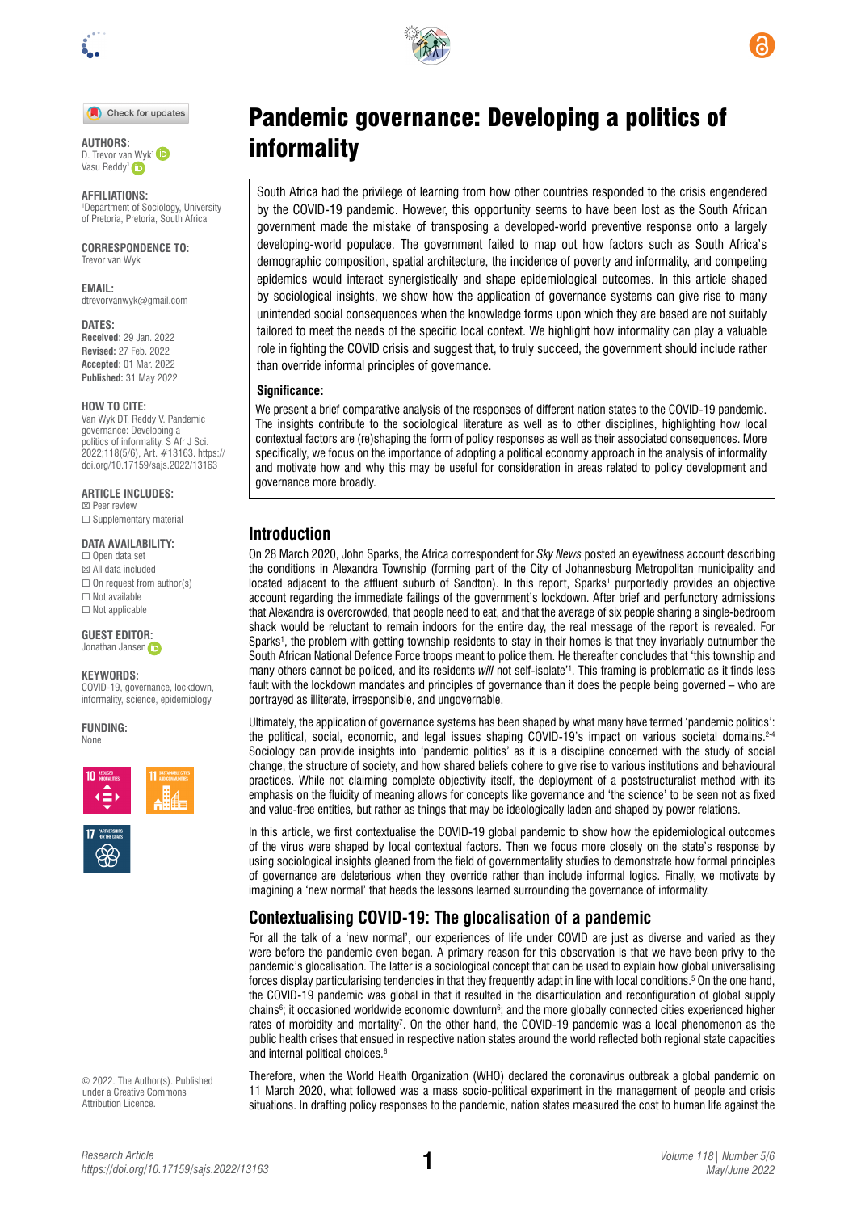

Check for updates

D. Trevor va[n Wyk](https://orcid.org/0000-0002-6004-2320)<sup>1</sup> Vasu Reddy<sup>1</sup>

#### **AFFILIATIONS:** 1 Department of Sociology, University of Pretoria, Pretoria, South Africa

**CORRESPONDENCE TO:**  Trevor van Wyk

**EMAIL:**  [dtrevorvanwyk@gmail.com](mailto:dtrevorvanwyk@gmail.com)

#### **DATES:**

**Received:** 29 Jan. 2022 **Revised:** 27 Feb. 2022 **Accepted:** 01 Mar. 2022 **Published:** 31 May 2022

#### **HOW TO CITE:**

Van Wyk DT, Reddy V. Pandemic governance: Developing a politics of informality. S Afr J Sci. 2022;118(5/6), Art. #13163. [https://](https://doi.org/10.17159/sajs.2022/13163) [doi.org/10.17159/sajs.2022/13163](https://doi.org/10.17159/sajs.2022/13163)

**ARTICLE INCLUDES:** ☒ Peer review □ Supplementary material

**DATA AVAILABILITY:** ☐ Open data set ☒ All data included  $\Box$  On request from author(s) ☐ Not available ☐ Not applicable

**GUEST EDITO[R:](https://orcid.org/0000-0002-8614-5678)**  Jonathan Jansen **in** 

#### **KEYWORDS:**

COVID-19, governance, lockdown, informality, science, epidemiology

**FUNDING:**  None





© 2022. The Author(s). Published under a [Creative Commons](https://creativecommons.org/licenses/by/4.0/)  [Attribution Licence.](https://creativecommons.org/licenses/by/4.0/)



# Pandemic governance: Developing a politics of **AUTHORS:** *informality*

South Africa had the privilege of learning from how other countries responded to the crisis engendered by the COVID-19 pandemic. However, this opportunity seems to have been lost as the South African government made the mistake of transposing a developed-world preventive response onto a largely developing-world populace. The government failed to map out how factors such as South Africa's demographic composition, spatial architecture, the incidence of poverty and informality, and competing epidemics would interact synergistically and shape epidemiological outcomes. In this article shaped by sociological insights, we show how the application of governance systems can give rise to many unintended social consequences when the knowledge forms upon which they are based are not suitably tailored to meet the needs of the specific local context. We highlight how informality can play a valuable role in fighting the COVID crisis and suggest that, to truly succeed, the government should include rather than override informal principles of governance.

### **Significance:**

We present a brief comparative analysis of the responses of different nation states to the COVID-19 pandemic. The insights contribute to the sociological literature as well as to other disciplines, highlighting how local contextual factors are (re)shaping the form of policy responses as well as their associated consequences. More specifically, we focus on the importance of adopting a political economy approach in the analysis of informality and motivate how and why this may be useful for consideration in areas related to policy development and governance more broadly.

### **Introduction**

On 28 March 2020, John Sparks, the Africa correspondent for *Sky News* posted an eyewitness account describing the conditions in Alexandra Township (forming part of the City of Johannesburg Metropolitan municipality and located adjacent to the affluent suburb of Sandton). In this report, Sparks<sup>1</sup> purportedly provides an objective account regarding the immediate failings of the government's lockdown. After brief and perfunctory admissions that Alexandra is overcrowded, that people need to eat, and that the average of six people sharing a single-bedroom shack would be reluctant to remain indoors for the entire day, the real message of the report is revealed. For Sparks1 , the problem with getting township residents to stay in their homes is that they invariably outnumber the South African National Defence Force troops meant to police them. He thereafter concludes that 'this township and many others cannot be policed, and its residents *will* not self-isolate'<sup>1</sup>. This framing is problematic as it finds less fault with the lockdown mandates and principles of governance than it does the people being governed – who are portrayed as illiterate, irresponsible, and ungovernable.

Ultimately, the application of governance systems has been shaped by what many have termed 'pandemic politics': the political, social, economic, and legal issues shaping COVID-19's impact on various societal domains.<sup>2-4</sup> Sociology can provide insights into 'pandemic politics' as it is a discipline concerned with the study of social change, the structure of society, and how shared beliefs cohere to give rise to various institutions and behavioural practices. While not claiming complete objectivity itself, the deployment of a poststructuralist method with its emphasis on the fluidity of meaning allows for concepts like governance and 'the science' to be seen not as fixed and value-free entities, but rather as things that may be ideologically laden and shaped by power relations.

In this article, we first contextualise the COVID-19 global pandemic to show how the epidemiological outcomes of the virus were shaped by local contextual factors. Then we focus more closely on the state's response by using sociological insights gleaned from the field of governmentality studies to demonstrate how formal principles of governance are deleterious when they override rather than include informal logics. Finally, we motivate by imagining a 'new normal' that heeds the lessons learned surrounding the governance of informality.

## **Contextualising COVID-19: The glocalisation of a pandemic**

For all the talk of a 'new normal', our experiences of life under COVID are just as diverse and varied as they were before the pandemic even began. A primary reason for this observation is that we have been privy to the pandemic's glocalisation. The latter is a sociological concept that can be used to explain how global universalising forces display particularising tendencies in that they frequently adapt in line with local conditions.5 On the one hand, the COVID-19 pandemic was global in that it resulted in the disarticulation and reconfiguration of global supply chains<sup>e</sup>; it occasioned worldwide economic downturn<sup>e</sup>; and the more globally connected cities experienced higher rates of morbidity and mortality<sup>7</sup>. On the other hand, the COVID-19 pandemic was a local phenomenon as the public health crises that ensued in respective nation states around the world reflected both regional state capacities and internal political choices.<sup>6</sup>

Therefore, when the World Health Organization (WHO) declared the coronavirus outbreak a global pandemic on 11 March 2020, what followed was a mass socio-political experiment in the management of people and crisis situations. In drafting policy responses to the pandemic, nation states measured the cost to human life against the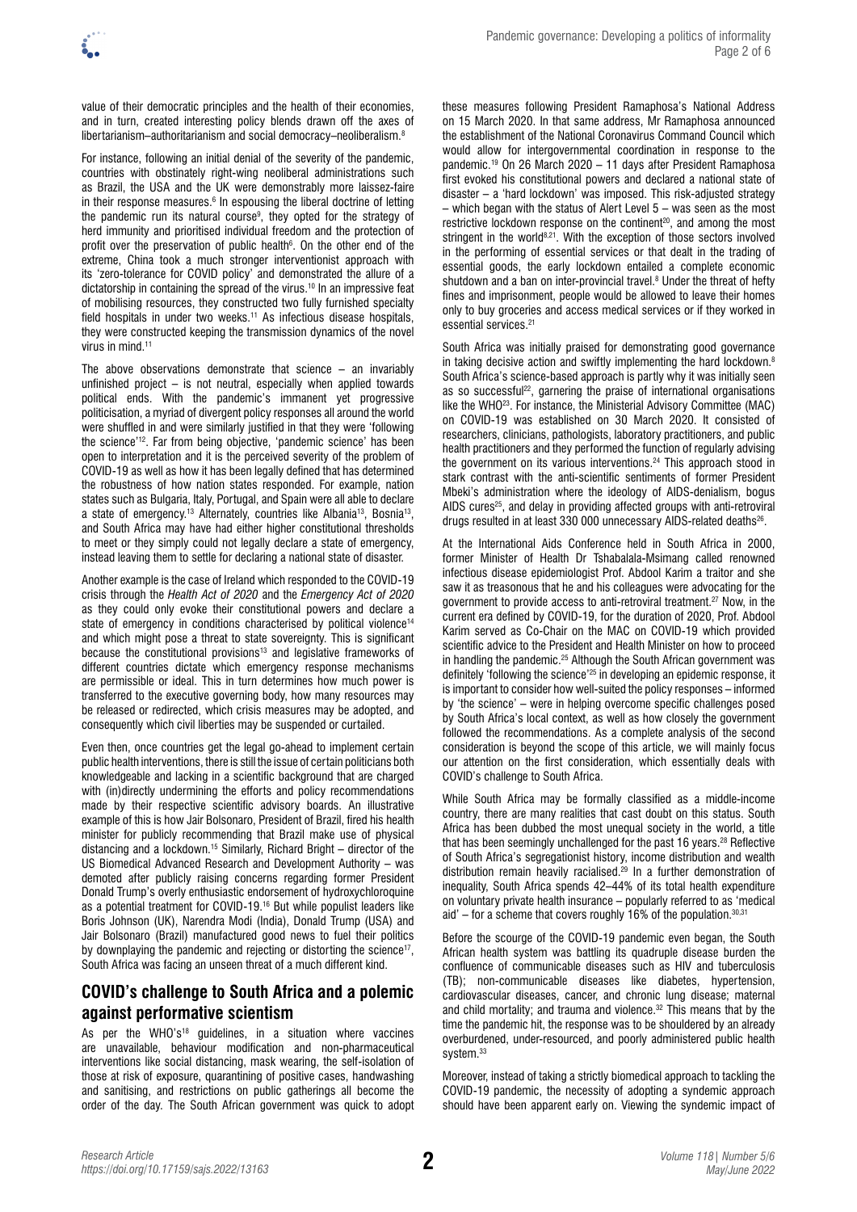value of their democratic principles and the health of their economies, and in turn, created interesting policy blends drawn off the axes of libertarianism–authoritarianism and social democracy–neoliberalism.<sup>8</sup>

For instance, following an initial denial of the severity of the pandemic, countries with obstinately right-wing neoliberal administrations such as Brazil, the USA and the UK were demonstrably more laissez-faire in their response measures.<sup>6</sup> In espousing the liberal doctrine of letting the pandemic run its natural course<sup>9</sup>, they opted for the strategy of herd immunity and prioritised individual freedom and the protection of profit over the preservation of public health $6$ . On the other end of the extreme, China took a much stronger interventionist approach with its 'zero-tolerance for COVID policy' and demonstrated the allure of a dictatorship in containing the spread of the virus.<sup>10</sup> In an impressive feat of mobilising resources, they constructed two fully furnished specialty field hospitals in under two weeks.<sup>11</sup> As infectious disease hospitals, they were constructed keeping the transmission dynamics of the novel virus in mind.<sup>11</sup>

The above observations demonstrate that science – an invariably unfinished project – is not neutral, especially when applied towards political ends. With the pandemic's immanent yet progressive politicisation, a myriad of divergent policy responses all around the world were shuffled in and were similarly justified in that they were 'following the science'12. Far from being objective, 'pandemic science' has been open to interpretation and it is the perceived severity of the problem of COVID-19 as well as how it has been legally defined that has determined the robustness of how nation states responded. For example, nation states such as Bulgaria, Italy, Portugal, and Spain were all able to declare a state of emergency.13 Alternately, countries like Albania13, Bosnia13, and South Africa may have had either higher constitutional thresholds to meet or they simply could not legally declare a state of emergency, instead leaving them to settle for declaring a national state of disaster.

Another example is the case of Ireland which responded to the COVID-19 crisis through the *Health Act of 2020* and the *Emergency Act of 2020* as they could only evoke their constitutional powers and declare a state of emergency in conditions characterised by political violence<sup>14</sup> and which might pose a threat to state sovereignty. This is significant because the constitutional provisions<sup>13</sup> and legislative frameworks of different countries dictate which emergency response mechanisms are permissible or ideal. This in turn determines how much power is transferred to the executive governing body, how many resources may be released or redirected, which crisis measures may be adopted, and consequently which civil liberties may be suspended or curtailed.

Even then, once countries get the legal go-ahead to implement certain public health interventions, there is still the issue of certain politicians both knowledgeable and lacking in a scientific background that are charged with (in)directly undermining the efforts and policy recommendations made by their respective scientific advisory boards. An illustrative example of this is how Jair Bolsonaro, President of Brazil, fired his health minister for publicly recommending that Brazil make use of physical distancing and a lockdown.15 Similarly, Richard Bright – director of the US Biomedical Advanced Research and Development Authority – was demoted after publicly raising concerns regarding former President Donald Trump's overly enthusiastic endorsement of hydroxychloroquine as a potential treatment for COVID-19.16 But while populist leaders like Boris Johnson (UK), Narendra Modi (India), Donald Trump (USA) and Jair Bolsonaro (Brazil) manufactured good news to fuel their politics by downplaying the pandemic and rejecting or distorting the science<sup>17</sup>, South Africa was facing an unseen threat of a much different kind.

### **COVID's challenge to South Africa and a polemic against performative scientism**

As per the WHO's<sup>18</sup> guidelines, in a situation where vaccines are unavailable, behaviour modification and non-pharmaceutical interventions like social distancing, mask wearing, the self-isolation of those at risk of exposure, quarantining of positive cases, handwashing and sanitising, and restrictions on public gatherings all become the order of the day. The South African government was quick to adopt

these measures following President Ramaphosa's National Address on 15 March 2020. In that same address, Mr Ramaphosa announced the establishment of the National Coronavirus Command Council which would allow for intergovernmental coordination in response to the pandemic.19 On 26 March 2020 – 11 days after President Ramaphosa first evoked his constitutional powers and declared a national state of disaster – a 'hard lockdown' was imposed. This risk-adjusted strategy – which began with the status of Alert Level 5 – was seen as the most restrictive lockdown response on the continent<sup>20</sup>, and among the most stringent in the world<sup>8,21</sup>. With the exception of those sectors involved in the performing of essential services or that dealt in the trading of essential goods, the early lockdown entailed a complete economic shutdown and a ban on inter-provincial travel.<sup>8</sup> Under the threat of hefty fines and imprisonment, people would be allowed to leave their homes only to buy groceries and access medical services or if they worked in essential services.<sup>21</sup>

South Africa was initially praised for demonstrating good governance in taking decisive action and swiftly implementing the hard lockdown.<sup>8</sup> South Africa's science-based approach is partly why it was initially seen as so successful<sup>22</sup>, garnering the praise of international organisations like the WHO23. For instance, the Ministerial Advisory Committee (MAC) on COVID-19 was established on 30 March 2020. It consisted of researchers, clinicians, pathologists, laboratory practitioners, and public health practitioners and they performed the function of regularly advising the government on its various interventions.<sup>24</sup> This approach stood in stark contrast with the anti-scientific sentiments of former President Mbeki's administration where the ideology of AIDS-denialism, bogus AIDS cures<sup>25</sup>, and delay in providing affected groups with anti-retroviral drugs resulted in at least 330 000 unnecessary AIDS-related deaths<sup>26</sup>.

At the International Aids Conference held in South Africa in 2000, former Minister of Health Dr Tshabalala-Msimang called renowned infectious disease epidemiologist Prof. Abdool Karim a traitor and she saw it as treasonous that he and his colleagues were advocating for the government to provide access to anti-retroviral treatment.27 Now, in the current era defined by COVID-19, for the duration of 2020, Prof. Abdool Karim served as Co-Chair on the MAC on COVID-19 which provided scientific advice to the President and Health Minister on how to proceed in handling the pandemic.<sup>25</sup> Although the South African government was definitely 'following the science'25 in developing an epidemic response, it is important to consider how well-suited the policy responses – informed by 'the science' – were in helping overcome specific challenges posed by South Africa's local context, as well as how closely the government followed the recommendations. As a complete analysis of the second consideration is beyond the scope of this article, we will mainly focus our attention on the first consideration, which essentially deals with COVID's challenge to South Africa.

While South Africa may be formally classified as a middle-income country, there are many realities that cast doubt on this status. South Africa has been dubbed the most unequal society in the world, a title that has been seemingly unchallenged for the past 16 years.<sup>28</sup> Reflective of South Africa's segregationist history, income distribution and wealth distribution remain heavily racialised.29 In a further demonstration of inequality, South Africa spends 42–44% of its total health expenditure on voluntary private health insurance – popularly referred to as 'medical aid' – for a scheme that covers roughly 16% of the population.  $30,31$ 

Before the scourge of the COVID-19 pandemic even began, the South African health system was battling its quadruple disease burden the confluence of communicable diseases such as HIV and tuberculosis (TB); non-communicable diseases like diabetes, hypertension, cardiovascular diseases, cancer, and chronic lung disease; maternal and child mortality; and trauma and violence.<sup>32</sup> This means that by the time the pandemic hit, the response was to be shouldered by an already overburdened, under-resourced, and poorly administered public health system.<sup>33</sup>

Moreover, instead of taking a strictly biomedical approach to tackling the COVID-19 pandemic, the necessity of adopting a syndemic approach should have been apparent early on. Viewing the syndemic impact of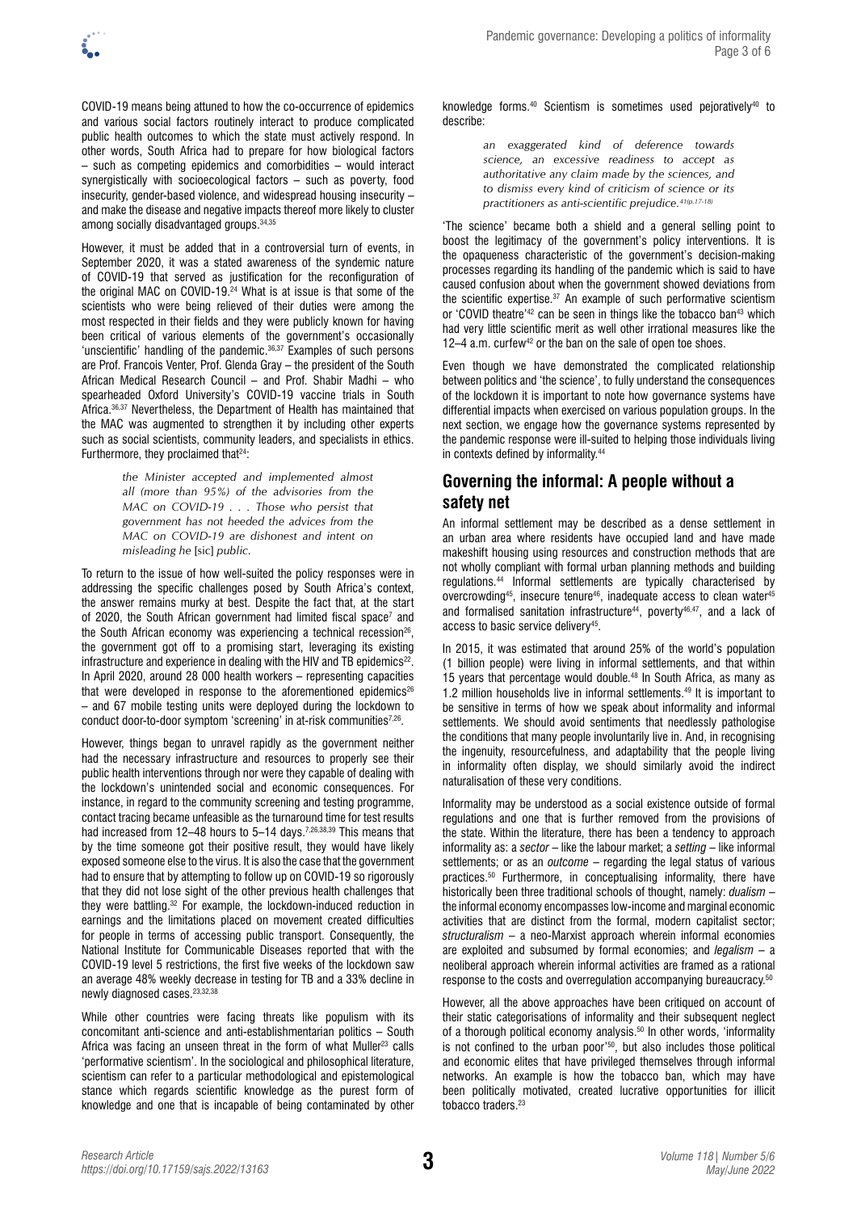COVID-19 means being attuned to how the co-occurrence of epidemics and various social factors routinely interact to produce complicated public health outcomes to which the state must actively respond. In other words, South Africa had to prepare for how biological factors – such as competing epidemics and comorbidities – would interact synergistically with socioecological factors – such as poverty, food insecurity, gender-based violence, and widespread housing insecurity – and make the disease and negative impacts thereof more likely to cluster among socially disadvantaged groups.<sup>34,35</sup>

However, it must be added that in a controversial turn of events, in September 2020, it was a stated awareness of the syndemic nature of COVID-19 that served as justification for the reconfiguration of the original MAC on COVID-19.24 What is at issue is that some of the scientists who were being relieved of their duties were among the most respected in their fields and they were publicly known for having been critical of various elements of the government's occasionally 'unscientific' handling of the pandemic.<sup>36,37</sup> Examples of such persons are Prof. Francois Venter, Prof. Glenda Gray – the president of the South African Medical Research Council – and Prof. Shabir Madhi – who spearheaded Oxford University's COVID-19 vaccine trials in South Africa.36,37 Nevertheless, the Department of Health has maintained that the MAC was augmented to strengthen it by including other experts such as social scientists, community leaders, and specialists in ethics. Furthermore, they proclaimed that $24$ :

> *the Minister accepted and implemented almost all (more than 95%) of the advisories from the MAC on COVID-19 . . . Those who persist that government has not heeded the advices from the MAC on COVID-19 are dishonest and intent on misleading he* [sic] *public.*

To return to the issue of how well-suited the policy responses were in addressing the specific challenges posed by South Africa's context, the answer remains murky at best. Despite the fact that, at the start of 2020, the South African government had limited fiscal space<sup>7</sup> and the South African economy was experiencing a technical recession<sup>26</sup>, the government got off to a promising start, leveraging its existing infrastructure and experience in dealing with the HIV and TB epidemics<sup>22</sup>. In April 2020, around 28 000 health workers – representing capacities that were developed in response to the aforementioned epidemics<sup>26</sup> – and 67 mobile testing units were deployed during the lockdown to conduct door-to-door symptom 'screening' in at-risk communities<sup>7,26</sup>.

However, things began to unravel rapidly as the government neither had the necessary infrastructure and resources to properly see their public health interventions through nor were they capable of dealing with the lockdown's unintended social and economic consequences. For instance, in regard to the community screening and testing programme, contact tracing became unfeasible as the turnaround time for test results had increased from 12–48 hours to 5–14 days.<sup>7,26,38,39</sup> This means that by the time someone got their positive result, they would have likely exposed someone else to the virus. It is also the case that the government had to ensure that by attempting to follow up on COVID-19 so rigorously that they did not lose sight of the other previous health challenges that they were battling.32 For example, the lockdown-induced reduction in earnings and the limitations placed on movement created difficulties for people in terms of accessing public transport. Consequently, the National Institute for Communicable Diseases reported that with the COVID-19 level 5 restrictions, the first five weeks of the lockdown saw an average 48% weekly decrease in testing for TB and a 33% decline in newly diagnosed cases.23,32,38

While other countries were facing threats like populism with its concomitant anti-science and anti-establishmentarian politics – South Africa was facing an unseen threat in the form of what Muller<sup>23</sup> calls 'performative scientism'. In the sociological and philosophical literature, scientism can refer to a particular methodological and epistemological stance which regards scientific knowledge as the purest form of knowledge and one that is incapable of being contaminated by other knowledge forms.<sup>40</sup> Scientism is sometimes used pejoratively<sup>40</sup> to describe:

> *an exaggerated kind of deference towards science, an excessive readiness to accept as authoritative any claim made by the sciences, and to dismiss every kind of criticism of science or its practitioners as anti-scientific prejudice.41(p.17-18)*

'The science' became both a shield and a general selling point to boost the legitimacy of the government's policy interventions. It is the opaqueness characteristic of the government's decision-making processes regarding its handling of the pandemic which is said to have caused confusion about when the government showed deviations from the scientific expertise.<sup>37</sup> An example of such performative scientism or 'COVID theatre'<sup>42</sup> can be seen in things like the tobacco ban<sup>43</sup> which had very little scientific merit as well other irrational measures like the 12–4 a.m. curfew<sup>42</sup> or the ban on the sale of open toe shoes.

Even though we have demonstrated the complicated relationship between politics and 'the science', to fully understand the consequences of the lockdown it is important to note how governance systems have differential impacts when exercised on various population groups. In the next section, we engage how the governance systems represented by the pandemic response were ill-suited to helping those individuals living in contexts defined by informality.<sup>44</sup>

### **Governing the informal: A people without a safety net**

An informal settlement may be described as a dense settlement in an urban area where residents have occupied land and have made makeshift housing using resources and construction methods that are not wholly compliant with formal urban planning methods and building regulations.44 Informal settlements are typically characterised by overcrowding<sup>45</sup>, insecure tenure<sup>46</sup>, inadequate access to clean water<sup>45</sup> and formalised sanitation infrastructure<sup>44</sup>, poverty<sup>46,47</sup>, and a lack of access to basic service delivery45.

In 2015, it was estimated that around 25% of the world's population (1 billion people) were living in informal settlements, and that within 15 years that percentage would double.<sup>48</sup> In South Africa, as many as 1.2 million households live in informal settlements.49 It is important to be sensitive in terms of how we speak about informality and informal settlements. We should avoid sentiments that needlessly pathologise the conditions that many people involuntarily live in. And, in recognising the ingenuity, resourcefulness, and adaptability that the people living in informality often display, we should similarly avoid the indirect naturalisation of these very conditions.

Informality may be understood as a social existence outside of formal regulations and one that is further removed from the provisions of the state. Within the literature, there has been a tendency to approach informality as: a *sector* – like the labour market; a *setting* – like informal settlements; or as an *outcome* – regarding the legal status of various practices.50 Furthermore, in conceptualising informality, there have historically been three traditional schools of thought, namely: *dualism* – the informal economy encompasses low-income and marginal economic activities that are distinct from the formal, modern capitalist sector; *structuralism* – a neo-Marxist approach wherein informal economies are exploited and subsumed by formal economies; and *legalism* – a neoliberal approach wherein informal activities are framed as a rational response to the costs and overregulation accompanying bureaucracy.50

However, all the above approaches have been critiqued on account of their static categorisations of informality and their subsequent neglect of a thorough political economy analysis.<sup>50</sup> In other words, 'informality is not confined to the urban poor'<sup>50</sup>, but also includes those political and economic elites that have privileged themselves through informal networks. An example is how the tobacco ban, which may have been politically motivated, created lucrative opportunities for illicit tobacco traders.23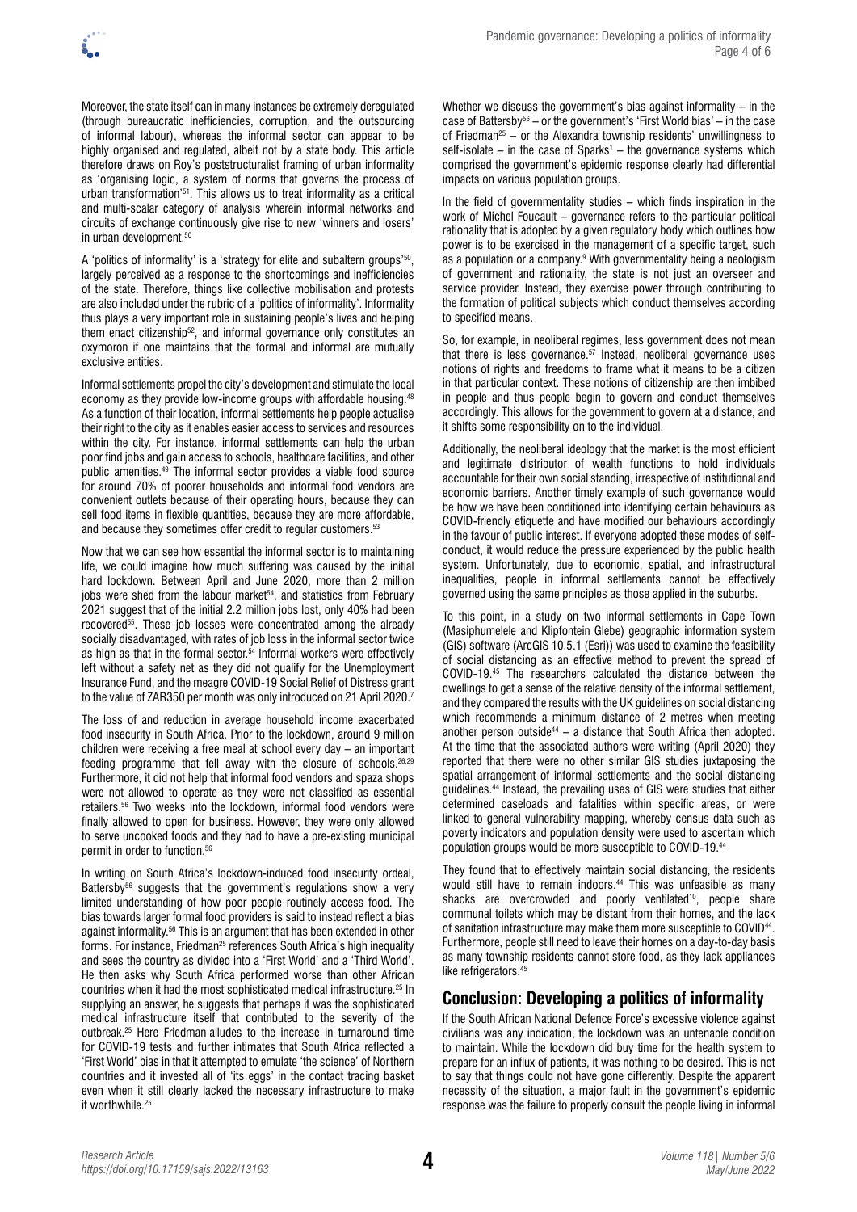Moreover, the state itself can in many instances be extremely deregulated (through bureaucratic inefficiencies, corruption, and the outsourcing of informal labour), whereas the informal sector can appear to be highly organised and regulated, albeit not by a state body. This article therefore draws on Roy's poststructuralist framing of urban informality as 'organising logic, a system of norms that governs the process of urban transformation'51. This allows us to treat informality as a critical and multi-scalar category of analysis wherein informal networks and circuits of exchange continuously give rise to new 'winners and losers' in urban development.<sup>50</sup>

A 'politics of informality' is a 'strategy for elite and subaltern groups'<sup>50</sup>, largely perceived as a response to the shortcomings and inefficiencies of the state. Therefore, things like collective mobilisation and protests are also included under the rubric of a 'politics of informality'. Informality thus plays a very important role in sustaining people's lives and helping them enact citizenship<sup>52</sup>, and informal governance only constitutes an oxymoron if one maintains that the formal and informal are mutually exclusive entities.

Informal settlements propel the city's development and stimulate the local economy as they provide low-income groups with affordable housing.<sup>48</sup> As a function of their location, informal settlements help people actualise their right to the city as it enables easier access to services and resources within the city. For instance, informal settlements can help the urban poor find jobs and gain access to schools, healthcare facilities, and other public amenities.49 The informal sector provides a viable food source for around 70% of poorer households and informal food vendors are convenient outlets because of their operating hours, because they can sell food items in flexible quantities, because they are more affordable, and because they sometimes offer credit to regular customers.<sup>53</sup>

Now that we can see how essential the informal sector is to maintaining life, we could imagine how much suffering was caused by the initial hard lockdown. Between April and June 2020, more than 2 million jobs were shed from the labour market<sup>54</sup>, and statistics from February 2021 suggest that of the initial 2.2 million jobs lost, only 40% had been recovered<sup>55</sup>. These job losses were concentrated among the already socially disadvantaged, with rates of job loss in the informal sector twice as high as that in the formal sector.<sup>54</sup> Informal workers were effectively left without a safety net as they did not qualify for the Unemployment Insurance Fund, and the meagre COVID-19 Social Relief of Distress grant to the value of ZAR350 per month was only introduced on 21 April 2020.<sup>7</sup>

The loss of and reduction in average household income exacerbated food insecurity in South Africa. Prior to the lockdown, around 9 million children were receiving a free meal at school every day – an important feeding programme that fell away with the closure of schools.26,29 Furthermore, it did not help that informal food vendors and spaza shops were not allowed to operate as they were not classified as essential retailers.56 Two weeks into the lockdown, informal food vendors were finally allowed to open for business. However, they were only allowed to serve uncooked foods and they had to have a pre-existing municipal permit in order to function.56

In writing on South Africa's lockdown-induced food insecurity ordeal, Battersby<sup>56</sup> suggests that the government's regulations show a very limited understanding of how poor people routinely access food. The bias towards larger formal food providers is said to instead reflect a bias against informality.56 This is an argument that has been extended in other forms. For instance, Friedman<sup>25</sup> references South Africa's high inequality and sees the country as divided into a 'First World' and a 'Third World'. He then asks why South Africa performed worse than other African countries when it had the most sophisticated medical infrastructure.25 In supplying an answer, he suggests that perhaps it was the sophisticated medical infrastructure itself that contributed to the severity of the outbreak.25 Here Friedman alludes to the increase in turnaround time for COVID-19 tests and further intimates that South Africa reflected a 'First World' bias in that it attempted to emulate 'the science' of Northern countries and it invested all of 'its eggs' in the contact tracing basket even when it still clearly lacked the necessary infrastructure to make it worthwhile.25

Whether we discuss the government's bias against informality – in the case of Battersby56 – or the government's 'First World bias' – in the case of Friedman<sup>25</sup> – or the Alexandra township residents' unwillingness to self-isolate  $-$  in the case of Sparks<sup>1</sup>  $-$  the governance systems which comprised the government's epidemic response clearly had differential impacts on various population groups.

In the field of governmentality studies – which finds inspiration in the work of Michel Foucault – governance refers to the particular political rationality that is adopted by a given regulatory body which outlines how power is to be exercised in the management of a specific target, such as a population or a company.9 With governmentality being a neologism of government and rationality, the state is not just an overseer and service provider. Instead, they exercise power through contributing to the formation of political subjects which conduct themselves according to specified means.

So, for example, in neoliberal regimes, less government does not mean that there is less governance.<sup>57</sup> Instead, neoliberal governance uses notions of rights and freedoms to frame what it means to be a citizen in that particular context. These notions of citizenship are then imbibed in people and thus people begin to govern and conduct themselves accordingly. This allows for the government to govern at a distance, and it shifts some responsibility on to the individual.

Additionally, the neoliberal ideology that the market is the most efficient and legitimate distributor of wealth functions to hold individuals accountable for their own social standing, irrespective of institutional and economic barriers. Another timely example of such governance would be how we have been conditioned into identifying certain behaviours as COVID-friendly etiquette and have modified our behaviours accordingly in the favour of public interest. If everyone adopted these modes of selfconduct, it would reduce the pressure experienced by the public health system. Unfortunately, due to economic, spatial, and infrastructural inequalities, people in informal settlements cannot be effectively governed using the same principles as those applied in the suburbs.

To this point, in a study on two informal settlements in Cape Town (Masiphumelele and Klipfontein Glebe) geographic information system (GIS) software (ArcGIS 10.5.1 (Esri)) was used to examine the feasibility of social distancing as an effective method to prevent the spread of COVID-19.45 The researchers calculated the distance between the dwellings to get a sense of the relative density of the informal settlement, and they compared the results with the UK guidelines on social distancing which recommends a minimum distance of 2 metres when meeting another person outside<sup>44</sup> – a distance that South Africa then adopted. At the time that the associated authors were writing (April 2020) they reported that there were no other similar GIS studies juxtaposing the spatial arrangement of informal settlements and the social distancing guidelines.44 Instead, the prevailing uses of GIS were studies that either determined caseloads and fatalities within specific areas, or were linked to general vulnerability mapping, whereby census data such as poverty indicators and population density were used to ascertain which population groups would be more susceptible to COVID-19.44

They found that to effectively maintain social distancing, the residents would still have to remain indoors.<sup>44</sup> This was unfeasible as many shacks are overcrowded and poorly ventilated<sup>10</sup>, people share communal toilets which may be distant from their homes, and the lack of sanitation infrastructure may make them more susceptible to COVID44. Furthermore, people still need to leave their homes on a day-to-day basis as many township residents cannot store food, as they lack appliances like refrigerators.<sup>45</sup>

### **Conclusion: Developing a politics of informality**

If the South African National Defence Force's excessive violence against civilians was any indication, the lockdown was an untenable condition to maintain. While the lockdown did buy time for the health system to prepare for an influx of patients, it was nothing to be desired. This is not to say that things could not have gone differently. Despite the apparent necessity of the situation, a major fault in the government's epidemic response was the failure to properly consult the people living in informal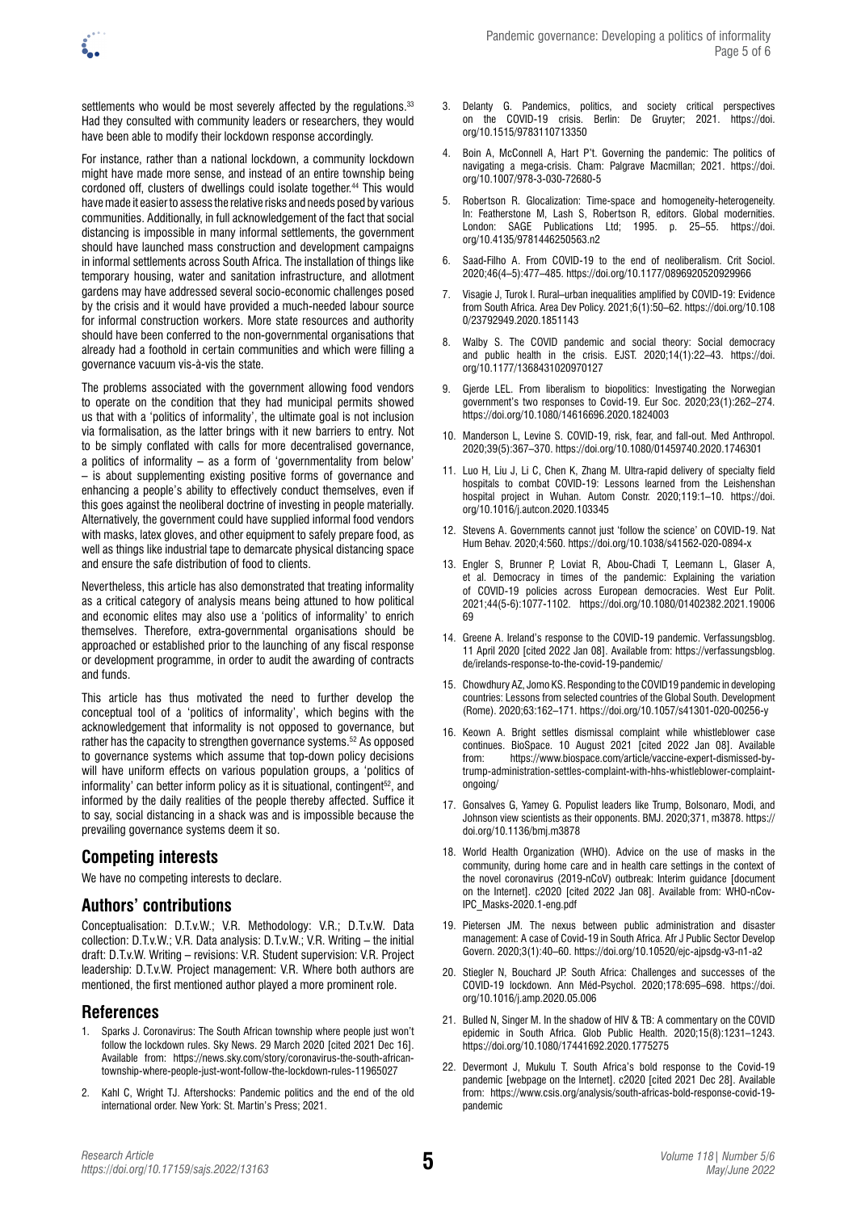settlements who would be most severely affected by the regulations.<sup>33</sup> Had they consulted with community leaders or researchers, they would have been able to modify their lockdown response accordingly.

For instance, rather than a national lockdown, a community lockdown might have made more sense, and instead of an entire township being cordoned off, clusters of dwellings could isolate together.<sup>44</sup> This would have made it easier to assess the relative risks and needs posed by various communities. Additionally, in full acknowledgement of the fact that social distancing is impossible in many informal settlements, the government should have launched mass construction and development campaigns in informal settlements across South Africa. The installation of things like temporary housing, water and sanitation infrastructure, and allotment gardens may have addressed several socio-economic challenges posed by the crisis and it would have provided a much-needed labour source for informal construction workers. More state resources and authority should have been conferred to the non-governmental organisations that already had a foothold in certain communities and which were filling a governance vacuum vis-à-vis the state.

The problems associated with the government allowing food vendors to operate on the condition that they had municipal permits showed us that with a 'politics of informality', the ultimate goal is not inclusion via formalisation, as the latter brings with it new barriers to entry. Not to be simply conflated with calls for more decentralised governance, a politics of informality – as a form of 'governmentality from below' – is about supplementing existing positive forms of governance and enhancing a people's ability to effectively conduct themselves, even if this goes against the neoliberal doctrine of investing in people materially. Alternatively, the government could have supplied informal food vendors with masks, latex gloves, and other equipment to safely prepare food, as well as things like industrial tape to demarcate physical distancing space and ensure the safe distribution of food to clients.

Nevertheless, this article has also demonstrated that treating informality as a critical category of analysis means being attuned to how political and economic elites may also use a 'politics of informality' to enrich themselves. Therefore, extra-governmental organisations should be approached or established prior to the launching of any fiscal response or development programme, in order to audit the awarding of contracts and funds.

This article has thus motivated the need to further develop the conceptual tool of a 'politics of informality', which begins with the acknowledgement that informality is not opposed to governance, but rather has the capacity to strengthen governance systems.<sup>52</sup> As opposed to governance systems which assume that top-down policy decisions will have uniform effects on various population groups, a 'politics of informality' can better inform policy as it is situational, contingent<sup>52</sup>, and informed by the daily realities of the people thereby affected. Suffice it to say, social distancing in a shack was and is impossible because the prevailing governance systems deem it so.

### **Competing interests**

We have no competing interests to declare.

### **Authors' contributions**

Conceptualisation: D.T.v.W.; V.R. Methodology: V.R.; D.T.v.W. Data collection: D.T.v.W.; V.R. Data analysis: D.T.v.W.; V.R. Writing – the initial draft: D.T.v.W. Writing – revisions: V.R. Student supervision: V.R. Project leadership: D.T.v.W. Project management: V.R. Where both authors are mentioned, the first mentioned author played a more prominent role.

### **References**

- 1. Sparks J. Coronavirus: The South African township where people just won't follow the lockdown rules. Sky News. 29 March 2020 [cited 2021 Dec 16]. Available from: [https://news.sky.com/story/coronavirus-the-south-african](https://news.sky.com/story/coronavirus-the-south-african-township-where-people-just-wont-follow-the-lockdown-rules-11965027)[township-where-people-just-wont-follow-the-lockdown-rules-11965027](https://news.sky.com/story/coronavirus-the-south-african-township-where-people-just-wont-follow-the-lockdown-rules-11965027)
- 2. Kahl C, Wright TJ. Aftershocks: Pandemic politics and the end of the old international order. New York: St. Martin's Press; 2021.
- 3. Delanty G. Pandemics, politics, and society critical perspectives on the COVID-19 crisis. Berlin: De Gruyter; 2021. [https://doi.](https://doi.org/10.1515/9783110713350) [org/10.1515/9783110713350](https://doi.org/10.1515/9783110713350)
- 4. Boin A, McConnell A, Hart P't. Governing the pandemic: The politics of navigating a mega-crisis. Cham: Palgrave Macmillan; 2021. [https://doi.](https://doi.org/10.1007/978-3-030-72680-5) [org/10.1007/978-3-030-72680-5](https://doi.org/10.1007/978-3-030-72680-5)
- 5. Robertson R. Glocalization: Time-space and homogeneity-heterogeneity. In: Featherstone M, Lash S, Robertson R, editors. Global modernities. London: SAGE Publications Ltd; 1995. p. 25–55. [https://doi.](https://doi.org/10.4135/9781446250563.n2) [org/10.4135/9781446250563.n2](https://doi.org/10.4135/9781446250563.n2)
- 6. Saad-Filho A. From COVID-19 to the end of neoliberalism. Crit Sociol. 2020;46(4–5):477–485. <https://doi.org/10.1177/0896920520929966>
- 7. Visagie J, Turok I. Rural–urban inequalities amplified by COVID-19: Evidence from South Africa. Area Dev Policy. 2021;6(1):50–62. [https://doi.org/10.108](https://doi.org/10.1080/23792949.2020.1851143) [0/23792949.2020.1851143](https://doi.org/10.1080/23792949.2020.1851143)
- 8. Walby S. The COVID pandemic and social theory: Social democracy and public health in the crisis. EJST. 2020;14(1):22–43. [https://doi.](https://doi.org/10.1177/1368431020970127) [org/10.1177/1368431020970127](https://doi.org/10.1177/1368431020970127)
- 9. Gierde LEL. From liberalism to biopolitics: Investigating the Norwegian government's two responses to Covid-19. Eur Soc. 2020;23(1):262–274. <https://doi.org/10.1080/14616696.2020.1824003>
- 10. Manderson L, Levine S. COVID-19, risk, fear, and fall-out. Med Anthropol. 2020;39(5):367–370.<https://doi.org/10.1080/01459740.2020.1746301>
- 11. Luo H, Liu J, Li C, Chen K, Zhang M. Ultra-rapid delivery of specialty field hospitals to combat COVID-19: Lessons learned from the Leishenshan hospital project in Wuhan. Autom Constr. 2020;119:1–10. [https://doi.](https://doi.org/10.1016/j.autcon.2020.103345) [org/10.1016/j.autcon.2020.103345](https://doi.org/10.1016/j.autcon.2020.103345)
- 12. Stevens A. Governments cannot just 'follow the science' on COVID-19. Nat Hum Behav. 2020;4:560. <https://doi.org/10.1038/s41562-020-0894-x>
- 13. Engler S, Brunner P, Loviat R, Abou-Chadi T, Leemann L, Glaser A, et al. Democracy in times of the pandemic: Explaining the variation of COVID-19 policies across European democracies. West Eur Polit. 2021;44(5-6):1077-1102. [https://doi.org/10.1080/01402382.2021.19006](https://doi.org/10.1080/01402382.2021.1900669) [69](https://doi.org/10.1080/01402382.2021.1900669)
- 14. Greene A. Ireland's response to the COVID-19 pandemic. Verfassungsblog. 11 April 2020 [cited 2022 Jan 08]. Available from: [https://verfassungsblog.](https://verfassungsblog.de/irelands-response-to-the-covid-19-pandemic/) [de/irelands-response-to-the-covid-19-pandemic/](https://verfassungsblog.de/irelands-response-to-the-covid-19-pandemic/)
- 15. Chowdhury AZ, Jomo KS. Responding to the COVID19 pandemic in developing countries: Lessons from selected countries of the Global South. Development (Rome). 2020;63:162–171. <https://doi.org/10.1057/s41301-020-00256-y>
- 16. Keown A. Bright settles dismissal complaint while whistleblower case continues. BioSpace. 10 August 2021 [cited 2022 Jan 08]. Available from: [https://www.biospace.com/article/vaccine-expert-dismissed-by](https://www.biospace.com/article/vaccine-expert-dismissed-by-trump-administration-settles-complaint-with-hhs-whistleblower-complaint-ongoing/)[trump-administration-settles-complaint-with-hhs-whistleblower-complaint](https://www.biospace.com/article/vaccine-expert-dismissed-by-trump-administration-settles-complaint-with-hhs-whistleblower-complaint-ongoing/)[ongoing/](https://www.biospace.com/article/vaccine-expert-dismissed-by-trump-administration-settles-complaint-with-hhs-whistleblower-complaint-ongoing/)
- 17. Gonsalves G, Yamey G. Populist leaders like Trump, Bolsonaro, Modi, and Johnson view scientists as their opponents. BMJ. 2020;371, m3878. [https://](https://doi.org/10.1136/bmj.m3878) [doi.org/10.1136/bmj.m3878](https://doi.org/10.1136/bmj.m3878)
- 18. World Health Organization (WHO). Advice on the use of masks in the community, during home care and in health care settings in the context of the novel coronavirus (2019-nCoV) outbreak: Interim guidance [document on the Internet]. c2020 [cited 2022 Jan 08]. Available from: [WHO-nCov-](https://apps.who.int/iris/bitstream/handle/10665/330987/WHO-nCov-IPC_Masks-2020.1-eng.pdf?sequence=1&isAllowed=y)[IPC\\_Masks-2020.1-eng.pdf](https://apps.who.int/iris/bitstream/handle/10665/330987/WHO-nCov-IPC_Masks-2020.1-eng.pdf?sequence=1&isAllowed=y)
- 19. Pietersen JM. The nexus between public administration and disaster management: A case of Covid-19 in South Africa. Afr J Public Sector Develop Govern. 2020;3(1):40–60.<https://doi.org/10.10520/ejc-ajpsdg-v3-n1-a2>
- 20. Stiegler N, Bouchard JP. South Africa: Challenges and successes of the COVID-19 lockdown. Ann Méd-Psychol. 2020;178:695–698. [https://doi.](https://doi.org/10.1016/j.amp.2020.05.006) [org/10.1016/j.amp.2020.05.006](https://doi.org/10.1016/j.amp.2020.05.006)
- 21. Bulled N, Singer M. In the shadow of HIV & TB: A commentary on the COVID epidemic in South Africa. Glob Public Health. 2020;15(8):1231–1243. <https://doi.org/10.1080/17441692.2020.1775275>
- 22. Devermont J, Mukulu T. South Africa's bold response to the Covid-19 pandemic [webpage on the Internet]. c2020 [cited 2021 Dec 28]. Available from: [https://www.csis.org/analysis/south-africas-bold-response-covid-19](https://www.csis.org/analysis/south-africas-bold-response-covid-19-pandemic) [pandemic](https://www.csis.org/analysis/south-africas-bold-response-covid-19-pandemic)